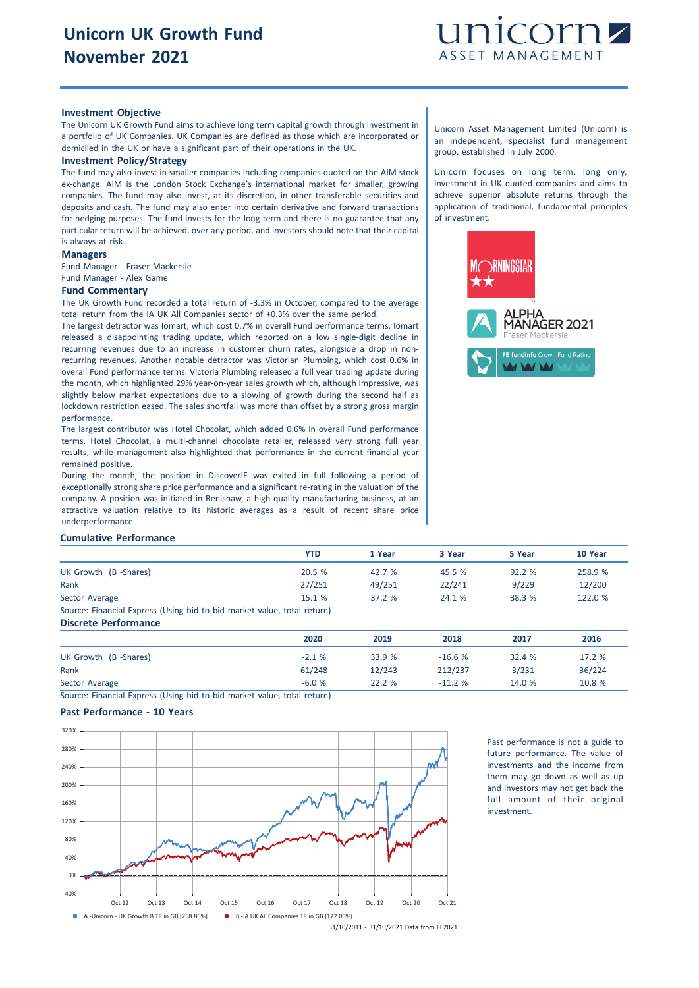

## **Investment Objective**

The Unicorn UK Growth Fund aims to achieve long term capital growth through investment in a portfolio of UK Companies. UK Companies are defined as those which are incorporated or domiciled in the UK or have a significant part of their operations in the UK.

### **Investment Policy/Strategy**

The fund may also invest in smaller companies including companies quoted on the AIM stock ex-change. AIM is the London Stock Exchange's international market for smaller, growing companies. The fund may also invest, at its discretion, in other transferable securities and deposits and cash. The fund may also enter into certain derivative and forward transactions for hedging purposes. The fund invests for the long term and there is no guarantee that any particular return will be achieved, over any period, and investors should note that their capital is always at risk.

## **Managers**

Fund Manager - Fraser Mackersie Fund Manager - Alex Game

#### **Fund Commentary**

The UK Growth Fund recorded a total return of -3.3% in October, compared to the average total return from the IA UK All Companies sector of +0.3% over the same period.

The largest detractor was Iomart, which cost 0.7% in overall Fund performance terms. Iomart released a disappointing trading update, which reported on a low single-digit decline in recurring revenues due to an increase in customer churn rates, alongside a drop in nonrecurring revenues. Another notable detractor was Victorian Plumbing, which cost 0.6% in overall Fund performance terms. Victoria Plumbing released a full year trading update during the month, which highlighted 29% year-on-year sales growth which, although impressive, was slightly below market expectations due to a slowing of growth during the second half as lockdown restriction eased. The sales shortfall was more than offset by a strong gross margin performance.

The largest contributor was Hotel Chocolat, which added 0.6% in overall Fund performance terms. Hotel Chocolat, a multi-channel chocolate retailer, released very strong full year results, while management also highlighted that performance in the current financial year remained positive.

During the month, the position in DiscoverIE was exited in full following a period of exceptionally strong share price performance and a significant re-rating in the valuation of the company. A position was initiated in Renishaw, a high quality manufacturing business, at an attractive valuation relative to its historic averages as a result of recent share price undernerformance

## **Cumulative Performance**

|                                                                         | YTD    | 1 Year | 3 Year | 5 Year | 10 Year |
|-------------------------------------------------------------------------|--------|--------|--------|--------|---------|
| UK Growth (B-Shares)                                                    | 20.5%  | 42.7 % | 45.5 % | 92.2%  | 258.9 % |
| Rank                                                                    | 27/251 | 49/251 | 22/241 | 9/229  | 12/200  |
| Sector Average                                                          | 15.1%  | 37.2%  | 24.1%  | 38.3 % | 122.0 % |
| Source: Financial Express (Using bid to bid market value, total return) |        |        |        |        |         |

## **Discrete Performance**

|                      | 2020    | 2019   | 2018     | 2017   | 2016   |
|----------------------|---------|--------|----------|--------|--------|
| UK Growth (B-Shares) | $-2.1%$ | 33.9 % | $-16.6%$ | 32.4 % | 17.2 % |
| Rank                 | 61/248  | 12/243 | 212/237  | 3/231  | 36/224 |
| Sector Average       | $-6.0%$ | 22.2%  | $-11.2%$ | 14.0 % | 10.8 % |

Source: Financial Express (Using bid to bid market value, total return)

## **Past Performance - 10 Years**



Past performance is not a guide to future performance. The value of investments and the income from them may go down as well as up and investors may not get back the full amount of their original investment.

Unicorn Asset Management Limited (Unicorn) is an independent, specialist fund management group, established in July 2000.

Unicorn focuses on long term, long only, investment in UK quoted companies and aims to achieve superior absolute returns through the application of traditional, fundamental principles of investment.